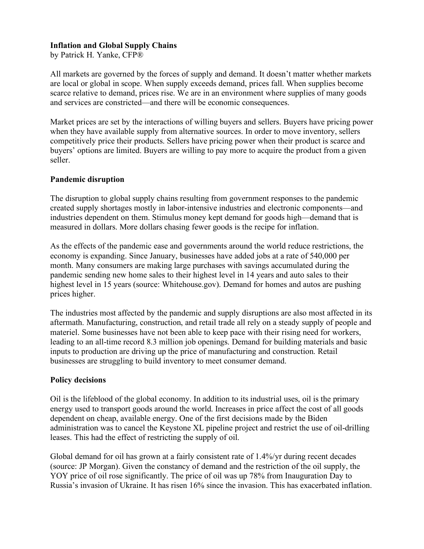## **Inflation and Global Supply Chains**

by Patrick H. Yanke, CFP®

All markets are governed by the forces of supply and demand. It doesn't matter whether markets are local or global in scope. When supply exceeds demand, prices fall. When supplies become scarce relative to demand, prices rise. We are in an environment where supplies of many goods and services are constricted—and there will be economic consequences.

Market prices are set by the interactions of willing buyers and sellers. Buyers have pricing power when they have available supply from alternative sources. In order to move inventory, sellers competitively price their products. Sellers have pricing power when their product is scarce and buyers' options are limited. Buyers are willing to pay more to acquire the product from a given seller.

## **Pandemic disruption**

The disruption to global supply chains resulting from government responses to the pandemic created supply shortages mostly in labor-intensive industries and electronic components—and industries dependent on them. Stimulus money kept demand for goods high—demand that is measured in dollars. More dollars chasing fewer goods is the recipe for inflation.

As the effects of the pandemic ease and governments around the world reduce restrictions, the economy is expanding. Since January, businesses have added jobs at a rate of 540,000 per month. Many consumers are making large purchases with savings accumulated during the pandemic sending new home sales to their highest level in 14 years and auto sales to their highest level in 15 years (source: Whitehouse.gov). Demand for homes and autos are pushing prices higher.

The industries most affected by the pandemic and supply disruptions are also most affected in its aftermath. Manufacturing, construction, and retail trade all rely on a steady supply of people and materiel. Some businesses have not been able to keep pace with their rising need for workers, leading to an all-time record 8.3 million job openings. Demand for building materials and basic inputs to production are driving up the price of manufacturing and construction. Retail businesses are struggling to build inventory to meet consumer demand.

#### **Policy decisions**

Oil is the lifeblood of the global economy. In addition to its industrial uses, oil is the primary energy used to transport goods around the world. Increases in price affect the cost of all goods dependent on cheap, available energy. One of the first decisions made by the Biden administration was to cancel the Keystone XL pipeline project and restrict the use of oil-drilling leases. This had the effect of restricting the supply of oil.

Global demand for oil has grown at a fairly consistent rate of 1.4%/yr during recent decades (source: JP Morgan). Given the constancy of demand and the restriction of the oil supply, the YOY price of oil rose significantly. The price of oil was up 78% from Inauguration Day to Russia's invasion of Ukraine. It has risen 16% since the invasion. This has exacerbated inflation.